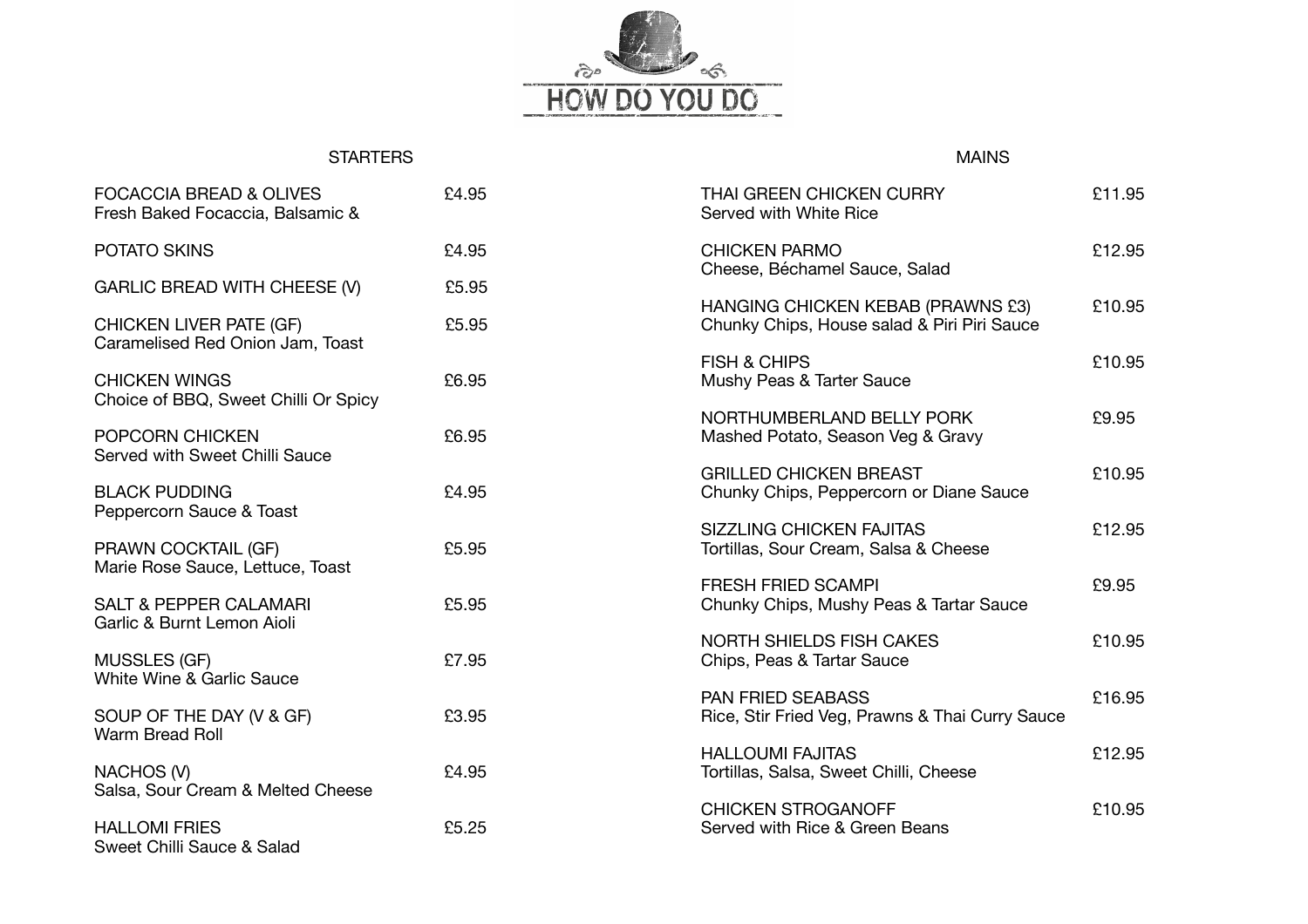

## **STARTERS**

## MAINS

| <b>FOCACCIA BREAD &amp; OLIVES</b><br>Fresh Baked Focaccia, Balsamic & | £4.95 | THAI GREEN CHICKEN CURRY<br>Served with White Rice                               | £11.95 |
|------------------------------------------------------------------------|-------|----------------------------------------------------------------------------------|--------|
| POTATO SKINS                                                           | £4.95 | <b>CHICKEN PARMO</b><br>Cheese, Béchamel Sauce, Salad                            | £12.95 |
| <b>GARLIC BREAD WITH CHEESE (V)</b>                                    | £5.95 |                                                                                  |        |
| <b>CHICKEN LIVER PATE (GF)</b><br>Caramelised Red Onion Jam, Toast     | £5.95 | HANGING CHICKEN KEBAB (PRAWNS £3)<br>Chunky Chips, House salad & Piri Piri Sauce | £10.95 |
| <b>CHICKEN WINGS</b><br>Choice of BBQ, Sweet Chilli Or Spicy           | £6.95 | <b>FISH &amp; CHIPS</b><br>Mushy Peas & Tarter Sauce                             | £10.95 |
| POPCORN CHICKEN<br>Served with Sweet Chilli Sauce                      | £6.95 | NORTHUMBERLAND BELLY PORK<br>Mashed Potato, Season Veg & Gravy                   | £9.95  |
| <b>BLACK PUDDING</b><br>Peppercorn Sauce & Toast                       | £4.95 | <b>GRILLED CHICKEN BREAST</b><br>Chunky Chips, Peppercorn or Diane Sauce         | £10.95 |
| PRAWN COCKTAIL (GF)<br>Marie Rose Sauce, Lettuce, Toast                | £5.95 | <b>SIZZLING CHICKEN FAJITAS</b><br>Tortillas, Sour Cream, Salsa & Cheese         | £12.95 |
| <b>SALT &amp; PEPPER CALAMARI</b><br>Garlic & Burnt Lemon Aioli        | £5.95 | <b>FRESH FRIED SCAMPI</b><br>Chunky Chips, Mushy Peas & Tartar Sauce             | £9.95  |
| <b>MUSSLES (GF)</b><br>White Wine & Garlic Sauce                       | £7.95 | <b>NORTH SHIELDS FISH CAKES</b><br>Chips, Peas & Tartar Sauce                    | £10.95 |
| SOUP OF THE DAY (V & GF)<br>Warm Bread Roll                            | £3.95 | <b>PAN FRIED SEABASS</b><br>Rice, Stir Fried Veg, Prawns & Thai Curry Sauce      | £16.95 |
| NACHOS (V)<br>Salsa, Sour Cream & Melted Cheese                        | £4.95 | <b>HALLOUMI FAJITAS</b><br>Tortillas, Salsa, Sweet Chilli, Cheese                | £12.95 |
| <b>HALLOMI FRIES</b><br>Sweet Chilli Sauce & Salad                     | £5.25 | <b>CHICKEN STROGANOFF</b><br>Served with Rice & Green Beans                      | £10.95 |